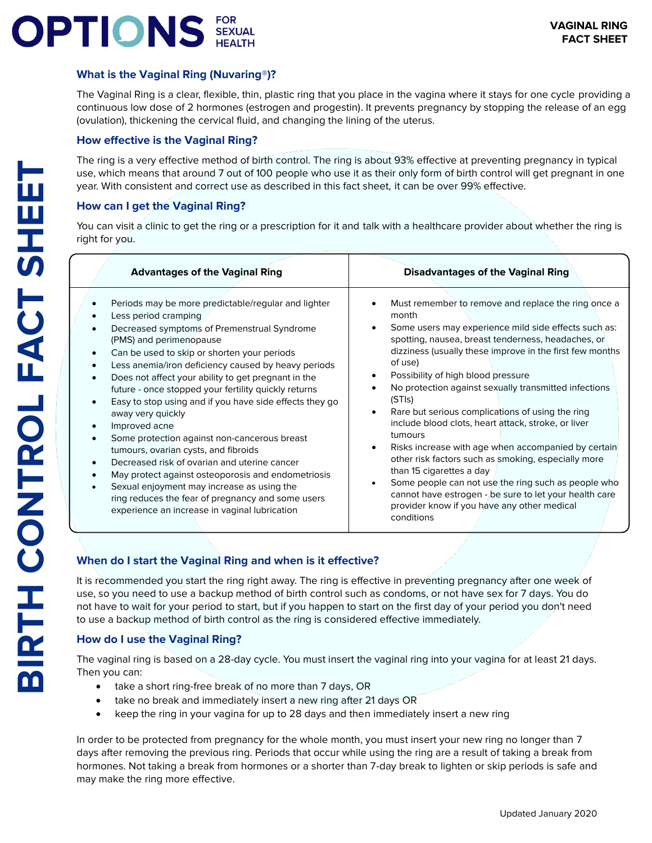# **DPTIONS** FOR SEXUAL

# **What is the Vaginal Ring (Nuvaring®)?**

The Vaginal Ring is a clear, flexible, thin, plastic ring that you place in the vagina where it stays for one cycle providing a continuous low dose of 2 hormones (estrogen and progestin). It prevents pregnancy by stopping the release of an egg (ovulation), thickening the cervical fluid, and changing the lining of the uterus.

# **How effective is the Vaginal Ring?**

The ring is a very effective method of birth control. The ring is about 93% effective at preventing pregnancy in typical use, which means that around 7 out of 100 people who use it as their only form of birth control will get pregnant in one year. With consistent and correct use as described in this fact sheet, it can be over 99% effective.

# **How can I get the Vaginal Ring?**

You can visit a clinic to get the ring or a prescription for it and talk with a healthcare provider about whether the ring is right for you.

| <b>Advantages of the Vaginal Ring</b>                                                                                                                                                                                                                                                                                                                                                                                                                                                                                                                                                                                                                                                                                                                                                                                                      | <b>Disadvantages of the Vaginal Ring</b>                                                                                                                                                                                                                                                                                                                                                                                                                                                                                                                                                                                                                                                                                                                                                                                   |
|--------------------------------------------------------------------------------------------------------------------------------------------------------------------------------------------------------------------------------------------------------------------------------------------------------------------------------------------------------------------------------------------------------------------------------------------------------------------------------------------------------------------------------------------------------------------------------------------------------------------------------------------------------------------------------------------------------------------------------------------------------------------------------------------------------------------------------------------|----------------------------------------------------------------------------------------------------------------------------------------------------------------------------------------------------------------------------------------------------------------------------------------------------------------------------------------------------------------------------------------------------------------------------------------------------------------------------------------------------------------------------------------------------------------------------------------------------------------------------------------------------------------------------------------------------------------------------------------------------------------------------------------------------------------------------|
| Periods may be more predictable/regular and lighter<br>Less period cramping<br>Decreased symptoms of Premenstrual Syndrome<br>(PMS) and perimenopause<br>Can be used to skip or shorten your periods<br>Less anemia/iron deficiency caused by heavy periods<br>$\bullet$<br>Does not affect your ability to get pregnant in the<br>future - once stopped your fertility quickly returns<br>Easy to stop using and if you have side effects they go<br>away very quickly<br>Improved acne<br>Some protection against non-cancerous breast<br>tumours, ovarian cysts, and fibroids<br>Decreased risk of ovarian and uterine cancer<br>May protect against osteoporosis and endometriosis<br>Sexual enjoyment may increase as using the<br>ring reduces the fear of pregnancy and some users<br>experience an increase in vaginal lubrication | Must remember to remove and replace the ring once a<br>month<br>Some users may experience mild side effects such as:<br>spotting, nausea, breast tenderness, headaches, or<br>dizziness (usually these improve in the first few months<br>of use)<br>Possibility of high blood pressure<br>No protection against sexually transmitted infections<br>(STIs)<br>Rare but serious complications of using the ring<br>٠<br>include blood clots, heart attack, stroke, or liver<br>tumours<br>Risks increase with age when accompanied by certain<br>$\bullet$<br>other risk factors such as smoking, especially more<br>than 15 cigarettes a day<br>Some people can not use the ring such as people who<br>cannot have estrogen - be sure to let your health care<br>provider know if you have any other medical<br>conditions |

# **When do I start the Vaginal Ring and when is it effective?**

It is recommended you start the ring right away. The ring is effective in preventing pregnancy after one week of use, so you need to use a backup method of birth control such as condoms, or not have sex for 7 days. You do not have to wait for your period to start, but if you happen to start on the first day of your period you don't need to use a backup method of birth control as the ring is considered effective immediately.

## **How do I use the Vaginal Ring?**

The vaginal ring is based on a 28-day cycle. You must insert the vaginal ring into your vagina for at least 21 days. Then you can:

- take a short ring-free break of no more than 7 days, OR
- take no break and immediately insert a new ring after 21 days OR
- keep the ring in your vagina for up to 28 days and then immediately insert a new ring

In order to be protected from pregnancy for the whole month, you must insert your new ring no longer than 7 days after removing the previous ring. Periods that occur while using the ring are a result of taking a break from hormones. Not taking a break from hormones or a shorter than 7-day break to lighten or skip periods is safe and may make the ring more effective.